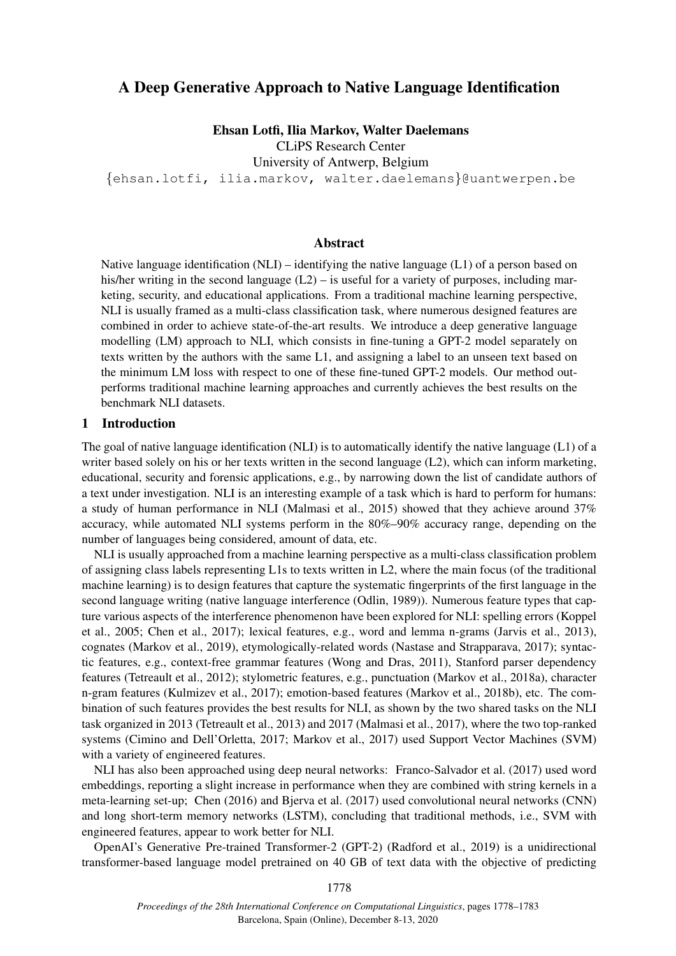# A Deep Generative Approach to Native Language Identification

Ehsan Lotfi, Ilia Markov, Walter Daelemans

CLiPS Research Center

University of Antwerp, Belgium

{ehsan.lotfi, ilia.markov, walter.daelemans}@uantwerpen.be

#### Abstract

Native language identification  $(NLI)$  – identifying the native language  $(L1)$  of a person based on his/her writing in the second language  $(L2)$  – is useful for a variety of purposes, including marketing, security, and educational applications. From a traditional machine learning perspective, NLI is usually framed as a multi-class classification task, where numerous designed features are combined in order to achieve state-of-the-art results. We introduce a deep generative language modelling (LM) approach to NLI, which consists in fine-tuning a GPT-2 model separately on texts written by the authors with the same L1, and assigning a label to an unseen text based on the minimum LM loss with respect to one of these fine-tuned GPT-2 models. Our method outperforms traditional machine learning approaches and currently achieves the best results on the benchmark NLI datasets.

#### 1 Introduction

The goal of native language identification (NLI) is to automatically identify the native language (L1) of a writer based solely on his or her texts written in the second language (L2), which can inform marketing, educational, security and forensic applications, e.g., by narrowing down the list of candidate authors of a text under investigation. NLI is an interesting example of a task which is hard to perform for humans: a study of human performance in NLI (Malmasi et al., 2015) showed that they achieve around 37% accuracy, while automated NLI systems perform in the 80%–90% accuracy range, depending on the number of languages being considered, amount of data, etc.

NLI is usually approached from a machine learning perspective as a multi-class classification problem of assigning class labels representing L1s to texts written in L2, where the main focus (of the traditional machine learning) is to design features that capture the systematic fingerprints of the first language in the second language writing (native language interference (Odlin, 1989)). Numerous feature types that capture various aspects of the interference phenomenon have been explored for NLI: spelling errors (Koppel et al., 2005; Chen et al., 2017); lexical features, e.g., word and lemma n-grams (Jarvis et al., 2013), cognates (Markov et al., 2019), etymologically-related words (Nastase and Strapparava, 2017); syntactic features, e.g., context-free grammar features (Wong and Dras, 2011), Stanford parser dependency features (Tetreault et al., 2012); stylometric features, e.g., punctuation (Markov et al., 2018a), character n-gram features (Kulmizev et al., 2017); emotion-based features (Markov et al., 2018b), etc. The combination of such features provides the best results for NLI, as shown by the two shared tasks on the NLI task organized in 2013 (Tetreault et al., 2013) and 2017 (Malmasi et al., 2017), where the two top-ranked systems (Cimino and Dell'Orletta, 2017; Markov et al., 2017) used Support Vector Machines (SVM) with a variety of engineered features.

NLI has also been approached using deep neural networks: Franco-Salvador et al. (2017) used word embeddings, reporting a slight increase in performance when they are combined with string kernels in a meta-learning set-up; Chen (2016) and Bjerva et al. (2017) used convolutional neural networks (CNN) and long short-term memory networks (LSTM), concluding that traditional methods, i.e., SVM with engineered features, appear to work better for NLI.

OpenAI's Generative Pre-trained Transformer-2 (GPT-2) (Radford et al., 2019) is a unidirectional transformer-based language model pretrained on 40 GB of text data with the objective of predicting

1778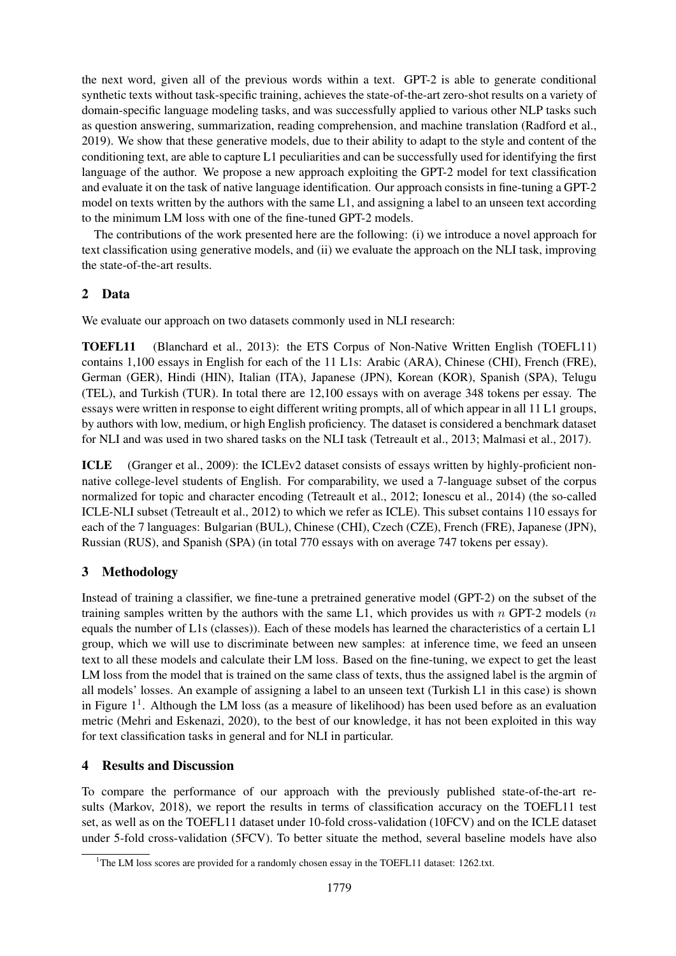the next word, given all of the previous words within a text. GPT-2 is able to generate conditional synthetic texts without task-specific training, achieves the state-of-the-art zero-shot results on a variety of domain-specific language modeling tasks, and was successfully applied to various other NLP tasks such as question answering, summarization, reading comprehension, and machine translation (Radford et al., 2019). We show that these generative models, due to their ability to adapt to the style and content of the conditioning text, are able to capture L1 peculiarities and can be successfully used for identifying the first language of the author. We propose a new approach exploiting the GPT-2 model for text classification and evaluate it on the task of native language identification. Our approach consists in fine-tuning a GPT-2 model on texts written by the authors with the same L1, and assigning a label to an unseen text according to the minimum LM loss with one of the fine-tuned GPT-2 models.

The contributions of the work presented here are the following: (i) we introduce a novel approach for text classification using generative models, and (ii) we evaluate the approach on the NLI task, improving the state-of-the-art results.

## 2 Data

We evaluate our approach on two datasets commonly used in NLI research:

TOEFL11 (Blanchard et al., 2013): the ETS Corpus of Non-Native Written English (TOEFL11) contains 1,100 essays in English for each of the 11 L1s: Arabic (ARA), Chinese (CHI), French (FRE), German (GER), Hindi (HIN), Italian (ITA), Japanese (JPN), Korean (KOR), Spanish (SPA), Telugu (TEL), and Turkish (TUR). In total there are 12,100 essays with on average 348 tokens per essay. The essays were written in response to eight different writing prompts, all of which appear in all 11 L1 groups, by authors with low, medium, or high English proficiency. The dataset is considered a benchmark dataset for NLI and was used in two shared tasks on the NLI task (Tetreault et al., 2013; Malmasi et al., 2017).

ICLE (Granger et al., 2009): the ICLEv2 dataset consists of essays written by highly-proficient nonnative college-level students of English. For comparability, we used a 7-language subset of the corpus normalized for topic and character encoding (Tetreault et al., 2012; Ionescu et al., 2014) (the so-called ICLE-NLI subset (Tetreault et al., 2012) to which we refer as ICLE). This subset contains 110 essays for each of the 7 languages: Bulgarian (BUL), Chinese (CHI), Czech (CZE), French (FRE), Japanese (JPN), Russian (RUS), and Spanish (SPA) (in total 770 essays with on average 747 tokens per essay).

# 3 Methodology

Instead of training a classifier, we fine-tune a pretrained generative model (GPT-2) on the subset of the training samples written by the authors with the same L1, which provides us with  $n$  GPT-2 models  $(n$ equals the number of L1s (classes)). Each of these models has learned the characteristics of a certain L1 group, which we will use to discriminate between new samples: at inference time, we feed an unseen text to all these models and calculate their LM loss. Based on the fine-tuning, we expect to get the least LM loss from the model that is trained on the same class of texts, thus the assigned label is the argmin of all models' losses. An example of assigning a label to an unseen text (Turkish L1 in this case) is shown in Figure  $1<sup>1</sup>$ . Although the LM loss (as a measure of likelihood) has been used before as an evaluation metric (Mehri and Eskenazi, 2020), to the best of our knowledge, it has not been exploited in this way for text classification tasks in general and for NLI in particular.

## 4 Results and Discussion

To compare the performance of our approach with the previously published state-of-the-art results (Markov, 2018), we report the results in terms of classification accuracy on the TOEFL11 test set, as well as on the TOEFL11 dataset under 10-fold cross-validation (10FCV) and on the ICLE dataset under 5-fold cross-validation (5FCV). To better situate the method, several baseline models have also

<sup>&</sup>lt;sup>1</sup>The LM loss scores are provided for a randomly chosen essay in the TOEFL11 dataset: 1262.txt.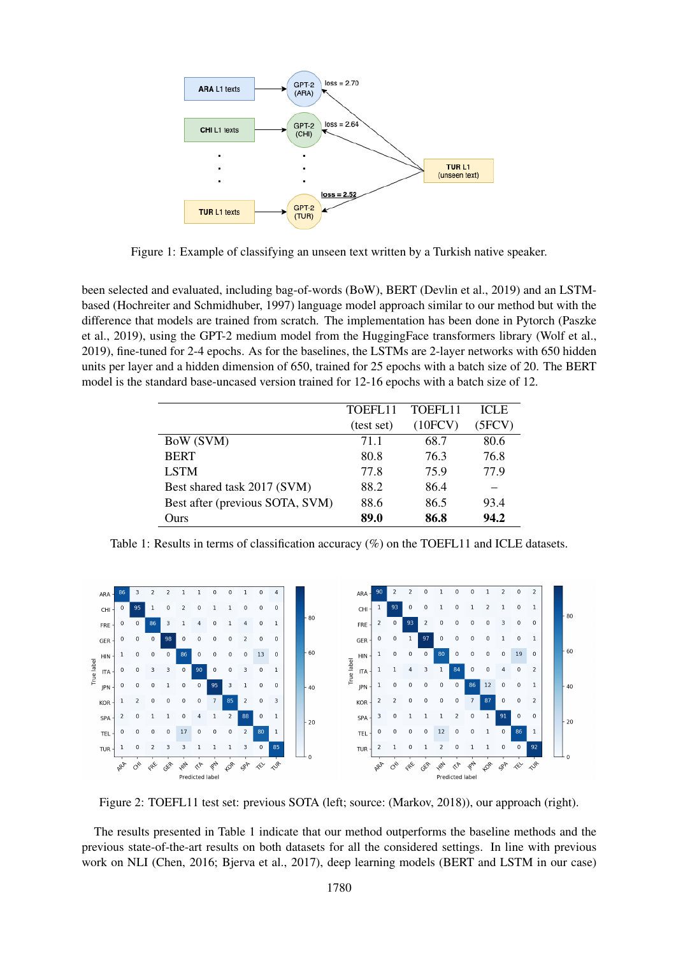

Figure 1: Example of classifying an unseen text written by a Turkish native speaker.

been selected and evaluated, including bag-of-words (BoW), BERT (Devlin et al., 2019) and an LSTMbased (Hochreiter and Schmidhuber, 1997) language model approach similar to our method but with the difference that models are trained from scratch. The implementation has been done in Pytorch (Paszke et al., 2019), using the GPT-2 medium model from the HuggingFace transformers library (Wolf et al., 2019), fine-tuned for 2-4 epochs. As for the baselines, the LSTMs are 2-layer networks with 650 hidden units per layer and a hidden dimension of 650, trained for 25 epochs with a batch size of 20. The BERT model is the standard base-uncased version trained for 12-16 epochs with a batch size of 12.

|                                 | TOEFL11    | TOEFL <sub>11</sub> | <b>ICLE</b> |
|---------------------------------|------------|---------------------|-------------|
|                                 | (test set) | (10FCV)             | (5FCV)      |
| BoW (SVM)                       | 71.1       | 68.7                | 80.6        |
| <b>BERT</b>                     | 80.8       | 76.3                | 76.8        |
| <b>LSTM</b>                     | 77.8       | 75.9                | 77.9        |
| Best shared task 2017 (SVM)     | 88.2       | 86.4                |             |
| Best after (previous SOTA, SVM) | 88.6       | 86.5                | 93.4        |
| Ours                            | 89.0       | 86.8                | 94.2        |

Table 1: Results in terms of classification accuracy (%) on the TOEFL11 and ICLE datasets.



Figure 2: TOEFL11 test set: previous SOTA (left; source: (Markov, 2018)), our approach (right).

The results presented in Table 1 indicate that our method outperforms the baseline methods and the previous state-of-the-art results on both datasets for all the considered settings. In line with previous work on NLI (Chen, 2016; Bjerva et al., 2017), deep learning models (BERT and LSTM in our case)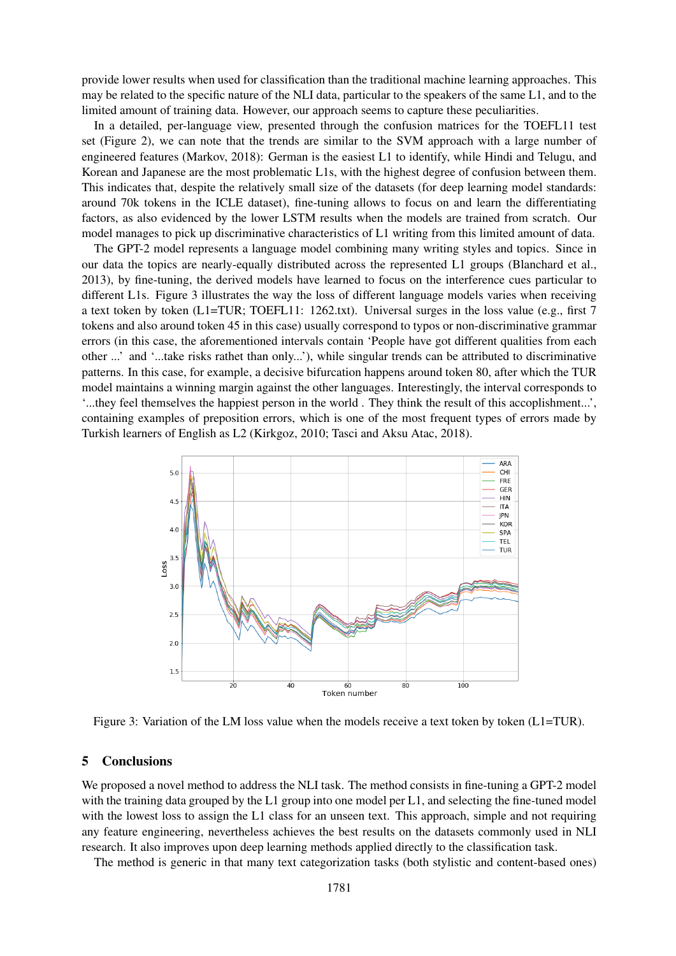provide lower results when used for classification than the traditional machine learning approaches. This may be related to the specific nature of the NLI data, particular to the speakers of the same L1, and to the limited amount of training data. However, our approach seems to capture these peculiarities.

In a detailed, per-language view, presented through the confusion matrices for the TOEFL11 test set (Figure 2), we can note that the trends are similar to the SVM approach with a large number of engineered features (Markov, 2018): German is the easiest L1 to identify, while Hindi and Telugu, and Korean and Japanese are the most problematic L1s, with the highest degree of confusion between them. This indicates that, despite the relatively small size of the datasets (for deep learning model standards: around 70k tokens in the ICLE dataset), fine-tuning allows to focus on and learn the differentiating factors, as also evidenced by the lower LSTM results when the models are trained from scratch. Our model manages to pick up discriminative characteristics of L1 writing from this limited amount of data.

The GPT-2 model represents a language model combining many writing styles and topics. Since in our data the topics are nearly-equally distributed across the represented L1 groups (Blanchard et al., 2013), by fine-tuning, the derived models have learned to focus on the interference cues particular to different L1s. Figure 3 illustrates the way the loss of different language models varies when receiving a text token by token (L1=TUR; TOEFL11: 1262.txt). Universal surges in the loss value (e.g., first 7 tokens and also around token 45 in this case) usually correspond to typos or non-discriminative grammar errors (in this case, the aforementioned intervals contain 'People have got different qualities from each other ...' and '...take risks rathet than only...'), while singular trends can be attributed to discriminative patterns. In this case, for example, a decisive bifurcation happens around token 80, after which the TUR model maintains a winning margin against the other languages. Interestingly, the interval corresponds to '...they feel themselves the happiest person in the world . They think the result of this accoplishment...', containing examples of preposition errors, which is one of the most frequent types of errors made by Turkish learners of English as L2 (Kirkgoz, 2010; Tasci and Aksu Atac, 2018).



Figure 3: Variation of the LM loss value when the models receive a text token by token (L1=TUR).

#### 5 Conclusions

We proposed a novel method to address the NLI task. The method consists in fine-tuning a GPT-2 model with the training data grouped by the L1 group into one model per L1, and selecting the fine-tuned model with the lowest loss to assign the L1 class for an unseen text. This approach, simple and not requiring any feature engineering, nevertheless achieves the best results on the datasets commonly used in NLI research. It also improves upon deep learning methods applied directly to the classification task.

The method is generic in that many text categorization tasks (both stylistic and content-based ones)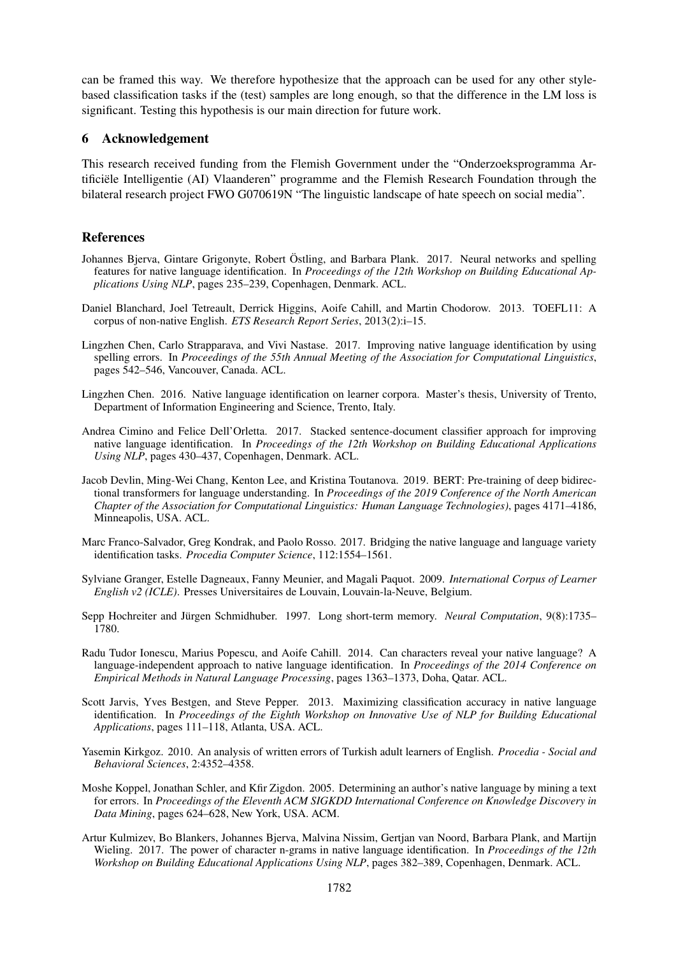can be framed this way. We therefore hypothesize that the approach can be used for any other stylebased classification tasks if the (test) samples are long enough, so that the difference in the LM loss is significant. Testing this hypothesis is our main direction for future work.

### 6 Acknowledgement

This research received funding from the Flemish Government under the "Onderzoeksprogramma Artificiële Intelligentie (AI) Vlaanderen" programme and the Flemish Research Foundation through the bilateral research project FWO G070619N "The linguistic landscape of hate speech on social media".

### References

- Johannes Bjerva, Gintare Grigonyte, Robert Östling, and Barbara Plank. 2017. Neural networks and spelling features for native language identification. In *Proceedings of the 12th Workshop on Building Educational Applications Using NLP*, pages 235–239, Copenhagen, Denmark. ACL.
- Daniel Blanchard, Joel Tetreault, Derrick Higgins, Aoife Cahill, and Martin Chodorow. 2013. TOEFL11: A corpus of non-native English. *ETS Research Report Series*, 2013(2):i–15.
- Lingzhen Chen, Carlo Strapparava, and Vivi Nastase. 2017. Improving native language identification by using spelling errors. In *Proceedings of the 55th Annual Meeting of the Association for Computational Linguistics*, pages 542–546, Vancouver, Canada. ACL.
- Lingzhen Chen. 2016. Native language identification on learner corpora. Master's thesis, University of Trento, Department of Information Engineering and Science, Trento, Italy.
- Andrea Cimino and Felice Dell'Orletta. 2017. Stacked sentence-document classifier approach for improving native language identification. In *Proceedings of the 12th Workshop on Building Educational Applications Using NLP*, pages 430–437, Copenhagen, Denmark. ACL.
- Jacob Devlin, Ming-Wei Chang, Kenton Lee, and Kristina Toutanova. 2019. BERT: Pre-training of deep bidirectional transformers for language understanding. In *Proceedings of the 2019 Conference of the North American Chapter of the Association for Computational Linguistics: Human Language Technologies)*, pages 4171–4186, Minneapolis, USA. ACL.
- Marc Franco-Salvador, Greg Kondrak, and Paolo Rosso. 2017. Bridging the native language and language variety identification tasks. *Procedia Computer Science*, 112:1554–1561.
- Sylviane Granger, Estelle Dagneaux, Fanny Meunier, and Magali Paquot. 2009. *International Corpus of Learner English v2 (ICLE)*. Presses Universitaires de Louvain, Louvain-la-Neuve, Belgium.
- Sepp Hochreiter and Jürgen Schmidhuber. 1997. Long short-term memory. *Neural Computation*, 9(8):1735– 1780.
- Radu Tudor Ionescu, Marius Popescu, and Aoife Cahill. 2014. Can characters reveal your native language? A language-independent approach to native language identification. In *Proceedings of the 2014 Conference on Empirical Methods in Natural Language Processing*, pages 1363–1373, Doha, Qatar. ACL.
- Scott Jarvis, Yves Bestgen, and Steve Pepper. 2013. Maximizing classification accuracy in native language identification. In *Proceedings of the Eighth Workshop on Innovative Use of NLP for Building Educational Applications*, pages 111–118, Atlanta, USA. ACL.
- Yasemin Kirkgoz. 2010. An analysis of written errors of Turkish adult learners of English. *Procedia Social and Behavioral Sciences*, 2:4352–4358.
- Moshe Koppel, Jonathan Schler, and Kfir Zigdon. 2005. Determining an author's native language by mining a text for errors. In *Proceedings of the Eleventh ACM SIGKDD International Conference on Knowledge Discovery in Data Mining*, pages 624–628, New York, USA. ACM.
- Artur Kulmizev, Bo Blankers, Johannes Bjerva, Malvina Nissim, Gertjan van Noord, Barbara Plank, and Martijn Wieling. 2017. The power of character n-grams in native language identification. In *Proceedings of the 12th Workshop on Building Educational Applications Using NLP*, pages 382–389, Copenhagen, Denmark. ACL.